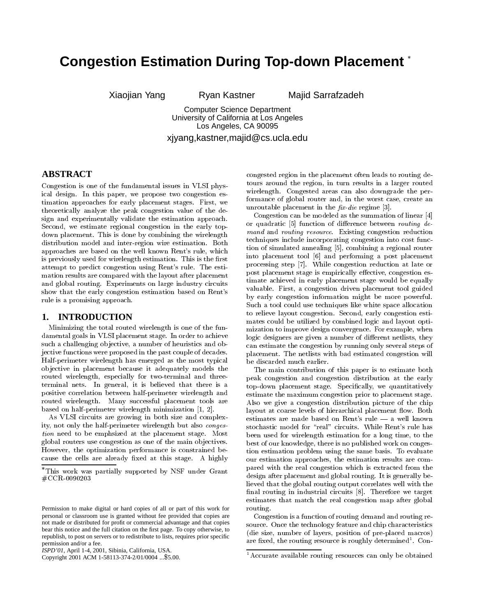# **Congestion Estimation During Top-down Placement**

Xiaojian Yang Ryan Kastner Majid Sarrafzadeh

Computer Science Department University of California at Los Angeles Los Angeles, CA 90095

xjyang,kastner,majid@cs.ucla.edu

## **ABSTRACT**

Congestion is one of the fundamental issues in VLSI physical design. In this paper, we propose two congestion es-timation approaches for early placement stages. First, we theoretically analyze the peak congestion value of the design and experimentally validate the estimation approach. Second, we estimate regional congestion in the early topdown placement. This is done by combining the wirelength distribution model and inter-region wire estimation. Both approaches are based on the well known Rent's rule, which is previously used for wirelength estimation. This is the first attempt to predict congestion using Rent's rule. The estimation results are compared with the layout after placement and global routing. Experiments on large industry circuits show that the early congestion estimation based on Rent's rule is a promising approach.

## **1. INTRODUCTION**

Minimizing the total routed wirelength is one of the fundamental goals in VLSI placement stage. In order to achieve such a challenging objective, a number of heuristics and objective functions were proposed in the past couple of decades. Half-perimeter wirelength has emerged as the most typical ob jective in placement because it adequately models the routed wirelength, especially for two-terminal and threeterminal nets. In general, it is believed that there is a positive correlation between half-perimeter wirelength and routed wirelength. Many successful placement tools are based on half-perimeter wirelength minimization [1, 2].

As VLSI circuits are growing in both size and complexity, not only the half-perimeter wirelength but also congestion need to be emphsized at the placement stage. Most global routers use congestion as one of the main ob jectives. However, the optimization performance is constrained be cause the cells are already fixed at this stage. A highly congested region in the placement often leads to routing detours around the region, in turn results in a larger routed wirelength. Congested areas can also downgrade the performance of global router and, in the worst case, create an unroutable placement in the  $\hat{h}x$ -die regime [3].

Congestion can be modeled as the summation of linear [4] or quadratic  $[5]$  function of difference between *routing de*mand and routing resource. Existing congestion reduction techniques include incorporating congestion into cost function of simulated annealing [5], combining a regional router into placement tool [6] and performing a post placement processing step [7]. While congestion reduction atlate or post placement stage is empirically effective, congestion estimate achieved in early placement stage would be equally valuable. First, a congestion driven placement tool guided by early congestion information might be more powerful. Such a tool could use techniques like white space allocation to relieve layout congestion. Second, early congestion estimates could be utilized by combined logic and layout optimization to improve design convergence. For example, when logic designers are given a number of different netlists, they can estimate the congestion by running only several steps of placement. The netlists with bad estimated congestion will be discarded much earlier.

The main contribution of this paper is to estimate both peak congestion and congestion distribution at the early top-down placement stage. Specifically, we quantitatively estimate the maximum congestion prior to placement stage. Also we give a congestion distribution picture of the chip layout at coarse levels of hierarchical placement flow. Both estimates are made based on Rent's rule - a well known stochastic model for "real" circuits. While Rent's rule has been used for wirelength estimation for a long time, to the best of our knowledge, there is no published work on congestion estimation problem using the same basis. To evaluate our estimation approaches, the estimation results are compared with the real congestion which is extracted from the design after placement and global routing. It is generally believed that the global routing output correlates well with the final routing in industrial circuits [8]. Therefore we target estimates that match the real congestion map after global routing.

Congestion is a function of routing demand and routing re source. Once the technology feature and chip characteristics (die size, number of layers, position of pre-placed macros) are  $n_{\rm X}$  are routing resource is roughly determined  $1$  Con-

This work was partially supported by NSF under Grant #CCR-0090203

Permission to make digital or hard copies of all or part of this work for personal or classroom use is granted without fee provided that copies are not made or distributed for profit or commercial advantage and that copies bear this notice and the full citation on the first page. To copy otherwise, to republish, to post on servers or to redistribute to lists, requires prior specific permission and/or a fee.

*ISPD'01,* April 1-4, 2001, Sibinia, California, USA.

Copyright 2001 ACM 1-58113-374-2/01/0004 ...\$5.00.

<sup>1</sup>Accurate available routing resources can only be obtained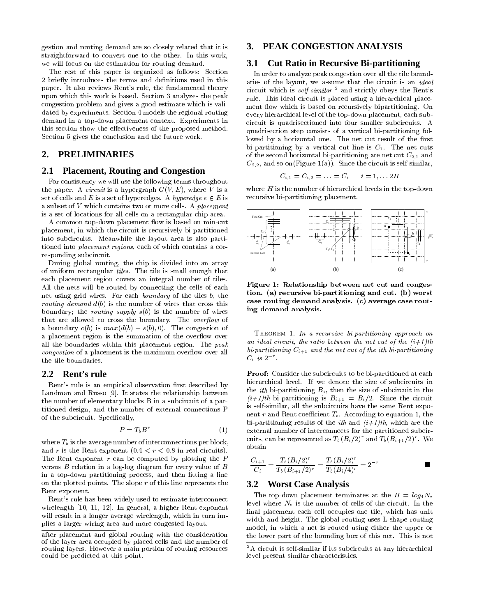gestion and routing demand are so closely related that it is straightforward to convert one to the other. In this work, we will focus on the estimation for routing demand.

The rest of this paper is organized as follows: Section 2 briefly introduces the terms and definitions used in this paper. It also reviews Rent's rule, the fundamental theory upon which this work is based. Section 3 analyzes the peak congestion problem and gives a good estimate which is validated by experiments. Section 4 models the regional routing demand in a top-down placement context. Experiments in this section show the effectiveness of the proposed method. Section 5 gives the conclusion and the future work.

## **2. PRELIMINARIES**

## **2.1 Placement, Routing and Congestion**

For consistency we will use the following terms throughout the paper. A *circuit* is a hypergraph  $G(V, E)$ , where V is a set of cells and E is a set of hyperedges. A hyperedge  $e \in E$  is a subset of  $V$  which contains two or more cells. A placement is a set of locations for all cells on a rectangular chip area.

A common top-down placement flow is based on min-cut placement, in which the circuit is recursively bi-partitioned into subcircuits. Meanwhile the layout area is also partitioned into placement regions, each of which contains a corresponding subcircuit.

During global routing, the chip is divided into an array of uniform rectangular tiles. The tile is small enough that each placement region covers an integral number of tiles. All the nets will be routed by connecting the cells of each net using grid wires. For each boundary of the tiles b, the *routing demand*  $d(b)$  *is the number of wires that cross this* boundary; the *routing supply*  $s(b)$  is the number of wires that are allowed to cross the boundary. The overflow of a boundary  $c(b)$  is  $max(d(b) - s(b), 0)$ . The congestion of a placement region is the summation of the overflow over all the boundaries within this placement region. The peak congestion of a placement is the maximum overflow over all the tile boundaries.

#### **2.2 Rent's rule**

Rent's rule is an empirical observation first described by Landman and Russo [9]. It states the relationship between the number of elementary blocks B in a subcircuit of a partitioned design, and the number of external connections P of the subcircuit. Specically,

$$
P = T_b B^r \tag{1}
$$

where  $T_b$  is the average number of interconnections per block, and r is the Rent exponent  $(0.4 < r < 0.8$  in real circuits). The Rent exponent  $r$  can be computed by plotting the  $P$ versus  $B$  relation in a log-log diagram for every value of  $B$ in a top-down partitioning process, and then fitting a line on the plotted points. The slope  $r$  of this line represents the Rent exponent.

Rent's rule has been widely used to estimate interconnect wirelength [10, 11, 12]. In general, a higher Rent exponent will result in a longer average wirelength, which in turn implies a larger wiring area and more congested layout.

## **3. PEAK CONGESTION ANALYSIS**

## **3.1 Cut Ratio in Recursive Bi-partitioning**

In order to analyze peak congestion over all the tile boundaries of the layout, we assume that the circuit is an ideal circuit which is self-similar  $^2$  and strictly obeys the Rent's rule. This ideal circuit is placed using a hierarchical place ment flow which is based on recursively bipartitioning. On every hierarchical level of the top-down placement, each subcircuit is quadrisectioned into four smaller subcircuits. A quadrisection step consists of a vertical bi-partitioning followed by a horizontal one. The net cut result of the first bi-partitioning by a vertical cut line is  $C_1$ . The net cuts of the second horizontal bi-partitioning are net cut  $C_{2,1}$  and  $C_{2,2}$ , and so on(Figure 1(a)). Since the circuit is self-similar,

$$
C_{i,1}=C_{i,2}=\ldots=C_i \qquad i=1,\ldots 2H
$$

where  $H$  is the number of hierarchical levels in the top-down recursive bi-partitioning placement.



Figure 1: Relationship between net cut and congestion. (a) recursive bi-partitioning and cut. (b) worst case routing demand analysis. (c) average case routing demand analysis.

THEOREM 1. In a recursive bi-partitioning approach on an ideal circuit, the ratio between the net cut of the  $(i+1)$ th bi-partitioning  $C_{i+1}$  and the net cut of the ith bi-partitioning  $C_i$  is 2

Proof: Consider the subcircuits to be bi-partitioned at each hierarchical level. If we denote the size of subcircuits in the *ith* bi-partitioning  $B_i$ , then the size of subcircuit in the  $(i+1)th$  bi-partitioning is  $B_{i+1} = B_i/2$ . Since the circuit is self-similar, all the subcircuits have the same Rent expo nent r and Rent coefficient  $T_b$ . According to equation 1, the bi-partitioning results of the *ith* and  $(i+1)th$ , which are the external number of interconnects for the partitioned subcircuits, can be represented as  $T_b(B_i/2)$  and  $T_b(B_{i+1}/2)$  . We obtain

$$
\frac{C_{i+1}}{C_i} = \frac{T_b(B_i/2)^r}{T_b(B_{i+1}/2)^r} = \frac{T_b(B_i/2)^r}{T_b(B_i/4)^r} = 2^{-r}
$$

 $\sim$   $\sim$ 

## **3.2 Worst Case Analysis**

The top-down placement terminates at the  $H = log_4N_c$ level where  $N_c$  is the number of cells of the circuit. In the final placement each cell occupies one tile, which has unit width and height. The global routing uses L-shape routing model, in which a net is routed using either the upper or the lower part of the bounding box of this net. This is not

after placement and global routing with the consideration of the layer area occupied by placed cells and the number of routing layers. However a main portion of routing resources could be predicted at this point.

<sup>&</sup>lt;sup>2</sup>A circuit is self-similar if its subcircuits at any hierarchical level present similar characteristics.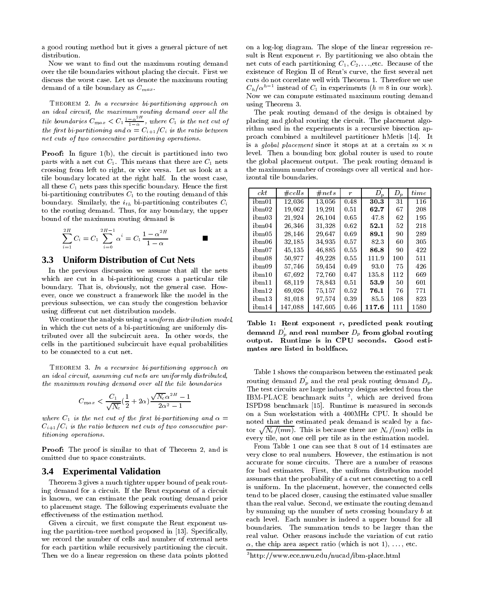a good routing method but it gives a general picture of net distribution.

Now we want to find out the maximum routing demand over the tile boundaries without placing the circuit. First we discuss the worst case. Let us denote the maximum routing demand of a tile boundary as  $C_{max}$ .

Theorem 2. In a recursive bi-partitioning approach on an ideal circuit, the maximum routing demand over al l the tile boundaries  $C_{max} < C_1 \frac{1-\alpha}{1-\alpha}$ , where  $C_1$  is the net cut of  $\cdots$  , and  $\cdots$  bi-circuming and  $\cdots$  . We can construct the ratio between  $\cdots$ net cuts of two consecutive partitioning operations.

**Proof:** In figure  $1(b)$ , the circuit is partitioned into two parts with a net cut  $C_1$ . This means that there are  $C_1$  nets crossing from left to right, or vice versa. Let us look at a tile boundary located at the right half. In the worst case, all these  $C_1$  nets pass this specific boundary. Hence the first bi-partitioning contributes  $C_1$  to the routing demand of this boundary. Similarly, the  $i_{th}$  bi-partitioning contributes  $C_i$ to the routing demand. Thus, for any boundary, the upper bound of the maximum routing demand is

$$
\sum_{i=1}^{2H} C_i = C_1 \sum_{i=0}^{2H-1} \alpha^i = C_1 \frac{1 - \alpha^{2H}}{1 - \alpha}
$$

#### **3.3 Uniform Distribution of Cut Nets**

In the previous discussion we assume that all the nets which are cut in a bi-partitioning cross a particular tile boundary. That is, obviously, not the general case. How ever, once we construct a framework like the model in the previous subsection, we can study the congestion behavior using different cut net distribution models.

We continue the analysis using a *uniform distribution model*, in which the cut nets of a bi-partitioning are uniformly distributed over all the subcircuit area. In other words, the cells in the partitioned subcircuit have equal probabilities to be connected to a cut net.

Theorem 3. In a recursive bi-partitioning approach on an ideal circuit, assuming cut nets are uniformly distributed, the maximum routing demand over all the tile boundaries

$$
C_{max} < \frac{C_1}{\sqrt{N_c}}(\frac{1}{2} + 2\alpha)\frac{\sqrt{N_c}\alpha^{2H} - 1}{2\alpha^2 - 1}
$$

where  $C_1$  is the net cut of the first bi-partitioning and  $\alpha =$  $C_{i+1}/C_i$  is the ratio between net cuts of two consecutive partitioning operations.

Proof: The proof is similar to that of Theorem 2, and is omitted due to space constraints.

#### **3.4 Experimental Validation**

Theorem 3 gives a much tighter upper bound of peak routing demand for a circuit. If the Rent exponent of a circuit is known, we can estimate the peak routing demand prior to placement stage. The following experiments evaluate the effectiveness of the estimation method.

Given a circuit, we first compute the Rent exponent using the partition-tree method proposed in [13]. Specifically, we record the number of cells and number of external nets for each partition while recursively partitioning the circuit. Then we do a linear regression on these data points plotted on a log-log diagram. The slope of the linear regression result is Rent exponent  $r$ . By partitioning we also obtain the net cuts of each partitioning  $C_1, C_2, \ldots$ , etc. Because of the existence of Region II of Rent's curve, the first several net cuts do not correlate well with Theorem 1. Therefore we use  $C_h/\alpha$  instead of  $C_1$  in experiments ( $h = 8$  in our work). Now we can compute estimated maximum routing demand using Theorem 3.

The peak routing demand of the design is obtained by placing and global routing the circuit. The placement algorithm used in the experiments is a recursive bisection approach combined a multilevel partitioner hMetis [14]. It is a global placement since it stops at at a certain  $m \times n$ level. Then a bounding box global router is used to route the global placement output. The peak routing demand is the maximum number of crossings over all vertical and horizontal tile boundaries.

| ckt   | $\#cells$ | #nets   | r    | $D_p$ | $D_p$ | time |
|-------|-----------|---------|------|-------|-------|------|
| ibm01 | 12,036    | 13,056  | 0.48 | 30.3  | 31    | 116  |
| ibm02 | 19,062    | 19,291  | 0.51 | 62.7  | 67    | 208  |
| ibm03 | 21,924    | 26,104  | 0.65 | 47.8  | 62    | 195  |
| ibm04 | 26,346    | 31,328  | 0.62 | 52.1  | 52    | 218  |
| ibm05 | 28,146    | 29,647  | 0.69 | 89.1  | 90    | 289  |
| ibm06 | 32,185    | 34,935  | 0.57 | 82.3  | 60    | 305  |
| ibm07 | 45,135    | 46,885  | 0.55 | 86.8  | 90    | 422  |
| ibm08 | 50.977    | 49,228  | 0.55 | 111.9 | 100   | 511  |
| ibm09 | 57.746    | 59,454  | 0.49 | 93.0  | 75    | 426  |
| ibm10 | 67.692    | 72.760  | 0.47 | 135.8 | 112   | 669  |
| ibm11 | 68,119    | 78,843  | 0.51 | 53.9  | 50    | 601  |
| ibm12 | 69,026    | 75,157  | 0.52 | 76.1  | 76    | 771  |
| ibm13 | 81.018    | 97.574  | 0.39 | 85.5  | 108   | 823  |
| ibm14 | 147,088   | 147,605 | 0.46 | 117.6 | 111   | 1580 |

Table 1: Rent exponent  $r$ , predicted peak routing demand  $D_n$  and real number  $D_p$  from global routing output. Runtime is in CPU seconds. Good estimates are listed in boldface.

Table 1 shows the comparison between the estimated peak routing demand  $D_p$  and the real peak routing demand  $D_p$ . The test circuits are large industry designs selected from the IBM-PLACE benchmark suits <sup>3</sup> , which are derived from ISPD98 benchmark [15]. Runtime is measured in seconds on a Sun workstation with a 400MHz CPU. It should be noted that the estimated peak demand is scaled by a factor  $\sqrt{N_c/(mn)}$ . This is because there are  $N_c/(mn)$  cells in every tile, not one cell per tile as in the estimation model.

From Table 1 one can see that 8 out of 14 estimates are very close to real numbers. However, the estimation is not accurate for some circuits. There are a number of reasons for bad estimates. First, the uniform distribution model assumes that the probability of a cut net connecting to a cell is uniform. In the placement, however, the connected cells tend to be placed closer, causing the estimated value smaller than the real value. Second, we estimate the routing demand by summing up the number of nets crossing boundary bat each level. Each number is indeed a upper bound for all boundaries. The summation tends to be larger than the real value. Other reasons include the variation of cut ratio  $\alpha$ , the chip area aspect ratio (which is not 1), ..., etc.

<sup>3</sup>http://www.ece.nwu.edu/nucad/ibm-place.html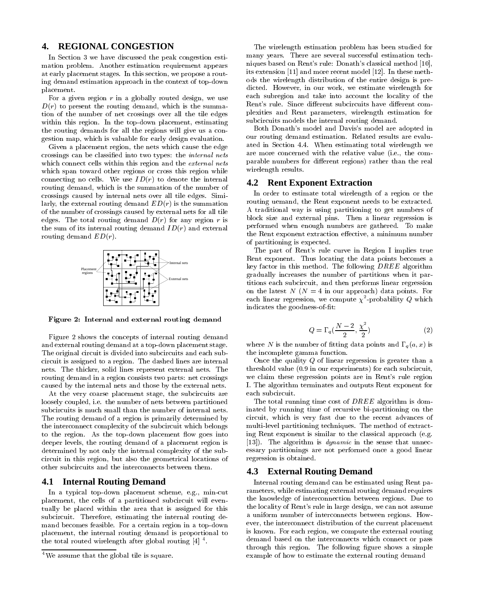## **4. REGIONAL CONGESTION**

In Section 3 we have discussed the peak congestion estimation problem. Another estimation requirement appears at early placement stages. In this section, we propose a routing demand estimation approach in the context of top-down placement.

For a given region  $r$  in a globally routed design, we use  $D(r)$  to present the routing demand, which is the summation of the number of net crossings over all the tile edges within this region. In the top-down placement, estimating the routing demands for all the regions will give us a con gestion map, which is valuable for early design evaluation.

Given a placement region, the nets which cause the edge crossings can be classied into two types: the internal nets which connect cells within this region and the *external nets* which span toward other regions or cross this region while connecting no cells. We use  $ID(r)$  to denote the internal routing demand, which is the summation of the number of crossings caused by internal nets over all tile edges. Similarly, the external routing demand  $ED(r)$  is the summation of the number of crossings caused by external nets for all tile edges. The total routing demand  $D(r)$  for any region r is the sum of its internal routing demand  $ID(r)$  and external routing demand  $ED(r)$ .



Figure 2: Internal and external routing demand

Figure 2 shows the concepts of internal routing demand and external routing demand at a top-down placement stage. The original circuit is divided into subcircuits and each subcircuit is assigned to a region. The dashed lines are internal nets. The thicker, solid lines represent external nets. The routing demand in a region consists two parts: net crossings caused by the internal nets and those by the external nets.

At the very coarse placement stage, the subcircuits are loosely coupled, i.e. the number of nets between partitioned subcircuits is much small than the number of internal nets. The routing demand of a region is primarily determined by the interconnect complexity of the subcircuit which belongs to the region. As the top-down placement flow goes into deeper levels, the routing demand of a placement region is determined by not only the internal complexity of the subcircuit in this region, but also the geometrical locations of other subcircuits and the interconnects between them.

#### **4.1 Internal Routing Demand**

In a typical top-down placement scheme, e.g., min-cut placement, the cells of a partitioned subcircuit will even tually be placed within the area that is assigned for this subcircuit. Therefore, estimating the internal routing demand becomes feasible. For a certain region in a top-down placement, the internal routing demand is proportional to the total routed wirelength after global routing  $|4|$  .

The wirelength estimation problem has been studied for many years. There are several successful estimation techniques based on Rent's rule: Donath's classical method [10], its extension [11] and more recent model [12]. In these methods the wirelength distribution of the entire design is predicted. However, in our work, we estimate wirelength for each subregion and take into account the locality of the Rent's rule. Since different subcircuits have different complexities and Rent parameters, wirelength estimation for subcircuits models the internal routing demand.

Both Donath's model and Davis's model are adopted in our routing demand estimation. Related results are evaluated in Section 4.4. When estimating total wirelength we are more concerned with the relative value (i.e., the com parable numbers for different regions) rather than the real wirelength results.

#### **4.2 Rent Exponent Extraction**

In order to estimate total wirelength of a region or the routing uemand, the Rent exponent needs to be extracted. A traditional way is using partitioning to get numbers of block size and external pins. Then a linear regression is performed when enough numbers are gathered. To make the Rent exponent extraction effective, a minimum number of partitioning is expected.

The part of Rent's rule curve in Region I implies true Rent exponent. Thus locating the data points becomes a key factor in this method. The following DREE algorithm gradually increases the number of partitions when it partitions each subcircuit, and then performs linear regression on the latest  $N(N = 4$  in our approach) data points. For each linear regression, we compute  $\chi$  -probability  $Q$  which indicates the goodness of-fit:

$$
Q = \Gamma_q(\frac{N-2}{2}, \frac{\chi^2}{2})
$$
\n<sup>(2)</sup>

where N is the number of fitting data points and  $\Gamma_q(a, x)$  is the incomplete gamma function.

Once the quality <sup>Q</sup> of linear regression is greater than a threshold value (0.9 in our experiments) for each subcircuit, we claim these regression points are in Rent's rule region I. The algorithm terminates and outputs Rent exponent for each subcircuit.

The total running time cost of DREE algorithm is dominated by running time of recursive bi-partitioning on the circuit, which is very fast due to the recent advances of multi-level partitioning techniques. The method of extracting Rent exponent is similar to the classical approach (e.g. [13]). The algorithm is *dynamic* in the sense that unnecessary partitionings are not performed once a good linear regression is obtained.

#### **4.3 External Routing Demand**

Internal routing demand can be estimated using Rent parameters, while estimating external routing demand requires the knowledge of interconnection between regions. Due to the locality of Rent's rule in large design, we can not assume a uniform number of interconnects between regions. How ever, the interconnect distribution of the current placement is known. For each region, we compute the external routing demand based on the interconnects which connect or pass through this region. The following figure shows a simple example of how to estimate the external routing demand

<sup>4</sup>We assume that the global tile is square.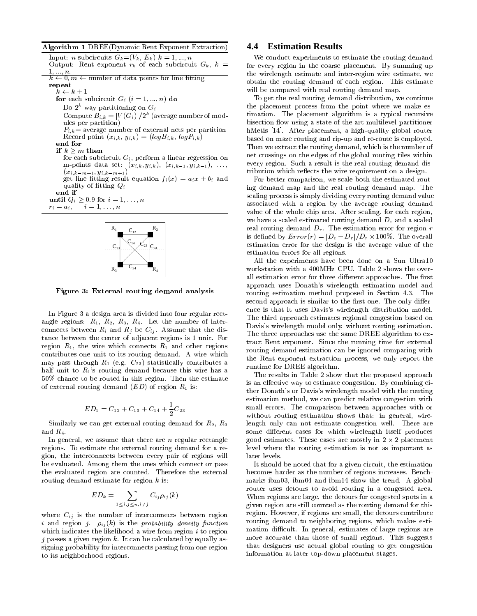Algorithm 1 DREE(Dynamic Rent Exponent Extraction)

| Input: <i>n</i> subcircuits $G_k = (V_k, E_k)$ $k = 1, , n$             |
|-------------------------------------------------------------------------|
| Output: Rent exponent $r_k$ of each subcircuit $G_k$ , $k =$            |
| $1, , n$ .                                                              |
| $k \leftarrow 0, m \leftarrow$ number of data points for line fitting   |
| repeat                                                                  |
| $k \leftarrow k + 1$                                                    |
| for each subcircuit $G_i$ $(i = 1, , n)$ do                             |
| Do $2^k$ way partitioning on $G_i$                                      |
| Compute $B_{i,k} =  V(G_i) /2^k$ (average number of mod-                |
| ules per partition)                                                     |
| $P_{i,k}$ = average number of external nets per partition               |
| Record point $(x_{i,k}, y_{i,k}) = (log B_{i,k}, log P_{i,k})$          |
| end for                                                                 |
| if $k > m$ then                                                         |
| for each subcircuit $G_i$ , perform a linear regression on              |
| m-points data set: $(x_{i,k}, y_{i,k}), (x_{i,k-1}, y_{i,k-1}), \ldots$ |
| $(x_{i,k-m+1}, y_{i,k-m+1})$                                            |
| get line fitting result equation $f_i(x) = a_i x + b_i$ and             |
| quality of fitting $Q_i$                                                |
| end if                                                                  |
| until $Q_i \geq 0.9$ for $i = 1, \ldots, n$                             |
| $r_i = a_i, \quad i = 1, \ldots, n$                                     |
|                                                                         |
| $\mathbf{r}$                                                            |



Figure 3: External routing demand analysis

In Figure 3 a design area is divided into four regular rectangle regions:  $R_1$ ,  $R_2$ ,  $R_3$ ,  $R_4$ . Let the number of interconnects between  $R_i$  and  $R_j$  be  $C_{ij}$ . Assume that the distance between the center of adjacent regions is 1 unit. For region  $R_1$ , the wire which connects  $R_1$  and other regions contributes one unit to its routing demand. A wire which may pass through  $R_1$  (e.g.  $C_{23}$ ) statistically contributes a half unit to  $R_1$ 's routing demand because this wire has a 50% chance to be routed in this region. Then the estimate of external routing demand  $(ED)$  of region  $R_1$  is:

$$
ED_1 = C_{12} + C_{13} + C_{14} + \frac{1}{2}C_{23}
$$

Similarly we can get external routing demand for  $R_2$ ,  $R_3$ and  $R_4$ .

In general, we assume that there are  $n$  regular rectangle regions. To estimate the external routing demand for a region, the interconnects between every pair of regions will be evaluated. Among them the ones which connect or pass the evaluated region are counted. Therefore the external routing demand estimate for region k is:

$$
ED_k = \sum_{1 \leq i,j \leq n, i \neq j} C_{ij} \rho_{ij}(k)
$$

where  $C_{ij}$  is the number of interconnects between region i and region j. ij (k) is the probability density function which indicates the likelihood a wire from region  $i$  to region j passes a given region k. It can be calculated by equally assigning probability for interconnects passing from one region to its neighborhood regions.

## **4.4 Estimation Results**

 $\sigma$ utput: recnt exponent rk of each subcircuit  $\sigma_{\kappa}$ ,  $\kappa$  = = 101 every region in the coarse placement. By summing up We conduct experiments to estimate the routing demand the wirelength estimate and inter-region wire estimate, we obtain the routing demand of each region. This estimate will be compared with real routing demand map.

> To get the real routing demand distribution, we continue the placement process from the point where we make es timation. The placement algorithm is a typical recursive bisection flow using a state-of-the-art multilevel partitioner hMetis [14]. After placement, a high-quality global router based on maze routing and rip-up and re-route is employed. Then we extract the routing demand, which is the number of net crossings on the edges of the global routing tiles within every region. Such a result is the real routing demand distribution which reflects the wire requirement on a design.

For better comparison, we scale both the estimated routing demand map and the real routing demand map. The scaling process is simply dividing every routing demand value associated with a region by the average routing demand value of the whole chip area. After scaling, for each region, we have a scaled estimated routing demand  $D_e$  and a scaled real routing demand  $D_r$ . The estimation error for region r is dened by Error(r) = <sup>j</sup>De Dr j=Dr - 100%. The overall estimation error for the design is the average value of the estimation errors for all regions.

All the experiments have been done on a Sun Ultra10 workstation with a 400MHz CPU. Table 2 shows the over all estimation error for three different approaches. The first approach uses Donath's wirelength estimation model and routing estimation method proposed in Section 4.3. The second approach is similar to the first one. The only difference is that it uses Davis's wirelength distribution model. The third approach estimates regional congestion based on Davis's wirelength model only, without routing estimation. The three approaches use the same DREE algorithm to extract Rent exponent. Since the running time for external routing demand estimation can be ignored comparing with the Rent exponent extraction process, we only report the runtime for DREE algorithm.

The results in Table 2 show that the proposed approach is an effective way to estimate congestion. By combining either Donath's or Davis's wirelength model with the routing estimation method, we can predict relative congestion with small errors. The comparison between approaches with or without routing estimation shows that: in general, wirelength only can not estimate congestion well. There are some different cases for which wirelength itself produces good estimates. These cases are mostly in 2 - placement level where the routing estimation is not as important as later levels.

It should be noted that for a given circuit, the estimation becomes harder as the number of regions increases. Benchmarks ibm03, ibm04 and ibm14 show the trend. A global router uses detours to avoid routing in a congested area. When regions are large, the detours for congested spots in a given region are still counted as the routing demand for this region. However, if regions are small, the detours contribute routing demand to neighboring regions, which makes estimation difficult. In general, estimates of large regions are more accurate than those of small regions. This suggests that designers use actual global routing to get congestion information at later top-down placement stages.